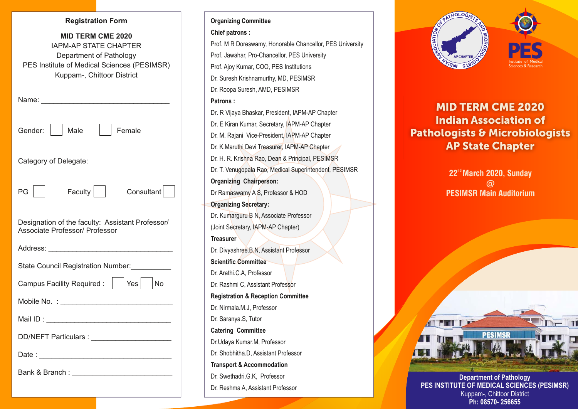#### **Registration Form**

| <b>MID TERM CME 2020</b><br><b>IAPM-AP STATE CHAPTER</b><br>Department of Pathology<br>PES Institute of Medical Sciences (PESIMSR)<br>Kuppam-, Chittoor District |
|------------------------------------------------------------------------------------------------------------------------------------------------------------------|
|                                                                                                                                                                  |
| Female<br>Male<br>Gender:                                                                                                                                        |
| Category of Delegate:                                                                                                                                            |
| Faculty $\vert$ $\vert$<br>$PG \mid \bot$<br>Consultant                                                                                                          |
| Designation of the faculty: Assistant Professor/<br>Associate Professor/ Professor                                                                               |
|                                                                                                                                                                  |
| State Council Registration Number:                                                                                                                               |
| Campus Facility Required : $ $ $ $ Yes $ $ No                                                                                                                    |
|                                                                                                                                                                  |
|                                                                                                                                                                  |
|                                                                                                                                                                  |
|                                                                                                                                                                  |
| Bank & Branch : __________________________                                                                                                                       |

# Prof. Jawahar, Pro-Chancellor, PES University **Patrons :** Dr. E Kiran Kumar, Secretary, IAPM-AP Chapter Dr. T. Venugopala Rao, Medical Superintendent, PESIMSR **Chief patrons :** Dr. R Vijaya Bhaskar, President, IAPM-AP Chapter Dr Ramaswamy A S, Professor & HOD **Organizing Chairperson:** (Joint Secretary, IAPM-AP Chapter) Prof. M R Doreswamy, Honorable Chancellor, PES University Dr. M. Rajani Vice-President, IAPM-AP Chapter Dr. K.Maruthi Devi Treasurer, IAPM-AP Chapter Dr. H. R. Krishna Rao, Dean & Principal, PESIMSR **Organizing Secretary:** Dr. Kumarguru B N, Associate Professor **Treasurer** Dr. Divyashree.B.N, Assistant Professor **Scientific Committee** Dr. Arathi.C.A, Professor Dr. Rashmi C, Assistant Professor **Organizing Committee Registration & Reception Committee** Prof. Ajoy Kumar, COO, PES Institutions Dr. Suresh Krishnamurthy, MD, PESIMSR Dr. Roopa Suresh, AMD, PESIMSR Dr. Saranya.S, Tutor Dr. Shobhitha.D, Assistant Professor Dr.Udaya Kumar.M, Professor Dr. Nirmala.M.J, Professor **Catering Committee** Dr. Reshma A, Assistant Professor Dr. Swethadri.G.K, Professor **Transport & Accommodation**



# MID TERM CME 2020 Indian Association of Pathologists & Microbiologists AP State Chapter

**nd 22 March 2020, Sunday @ PESIMSR Main Auditorium** 



**Department of Pathology PES INSTITUTE OF MEDICAL SCIENCES (PESIMSR)** Kuppam-, Chittoor District **Ph: 08570- 256655**